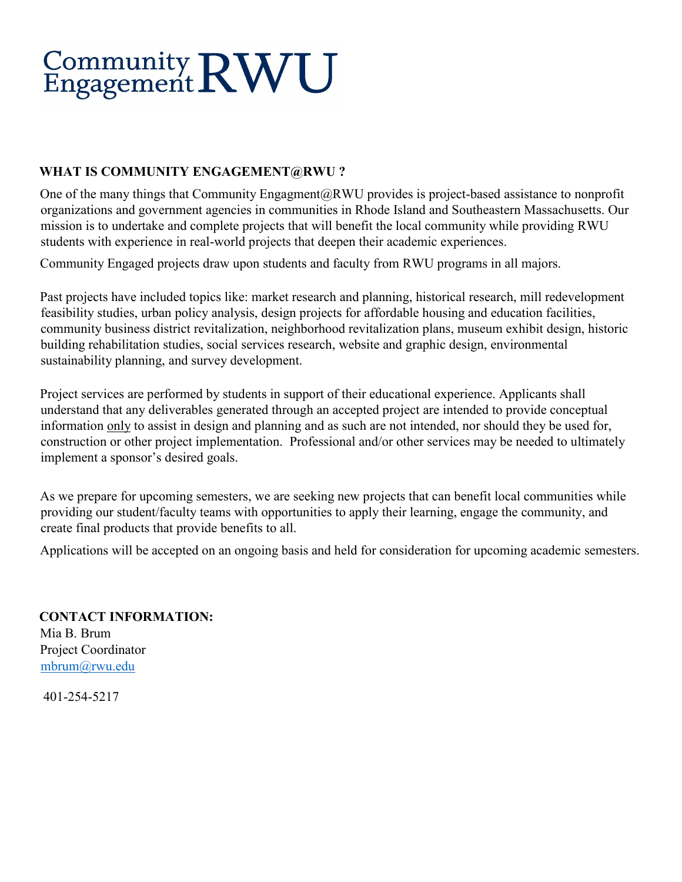# Community RWU

# **WHAT IS COMMUNITY ENGAGEMENT@RWU ?**

One of the many things that Community Engagment@RWU provides is project-based assistance to nonprofit organizations and government agencies in communities in Rhode Island and Southeastern Massachusetts. Our mission is to undertake and complete projects that will benefit the local community while providing RWU students with experience in real-world projects that deepen their academic experiences.

Community Engaged projects draw upon students and faculty from RWU programs in all majors.

Past projects have included topics like: market research and planning, historical research, mill redevelopment feasibility studies, urban policy analysis, design projects for affordable housing and education facilities, community business district revitalization, neighborhood revitalization plans, museum exhibit design, historic building rehabilitation studies, social services research, website and graphic design, environmental sustainability planning, and survey development.

Project services are performed by students in support of their educational experience. Applicants shall understand that any deliverables generated through an accepted project are intended to provide conceptual information only to assist in design and planning and as such are not intended, nor should they be used for, construction or other project implementation. Professional and/or other services may be needed to ultimately implement a sponsor's desired goals.

As we prepare for upcoming semesters, we are seeking new projects that can benefit local communities while providing our student/faculty teams with opportunities to apply their learning, engage the community, and create final products that provide benefits to all.

Applications will be accepted on an ongoing basis and held for consideration for upcoming academic semesters.

**CONTACT INFORMATION:**  Mia B. Brum Project Coordinator [mbrum@rwu.edu](mailto:mbrum@rwu.edu)

401-254-5217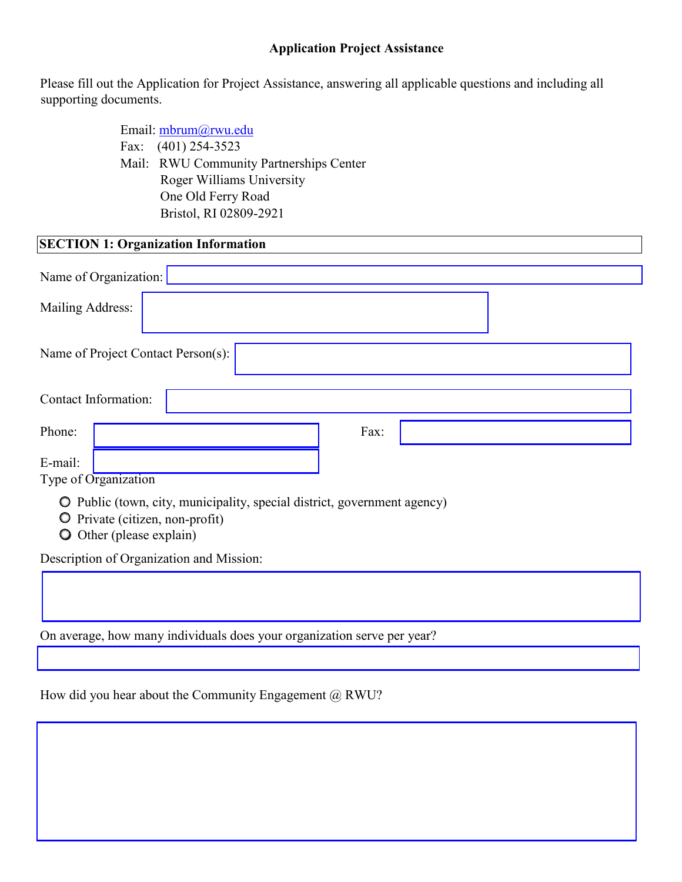#### **Application Project Assistance**

Please fill out the Application for Project Assistance, answering all applicable questions and including all supporting documents.

> Email: mbrum@rwu.edu Fax: (401) 254-3523 Mail: RWU Community Partnerships Center Roger Williams University One Old Ferry Road Bristol, RI 02809-2921

| <b>SECTION 1: Organization Information</b>                               |
|--------------------------------------------------------------------------|
| Name of Organization:                                                    |
| Mailing Address:                                                         |
| Name of Project Contact Person(s):                                       |
| Contact Information:                                                     |
| Phone:<br>Fax:                                                           |
| E-mail:<br>Type of Organization                                          |
| O Public (town, city, municipality, special district, government agency) |

Private (citizen, non-profit)

Other (please explain)

Description of Organization and Mission:

On average, how many individuals does your organization serve per year?

How did you hear about the Community Engagement  $(a)$  RWU?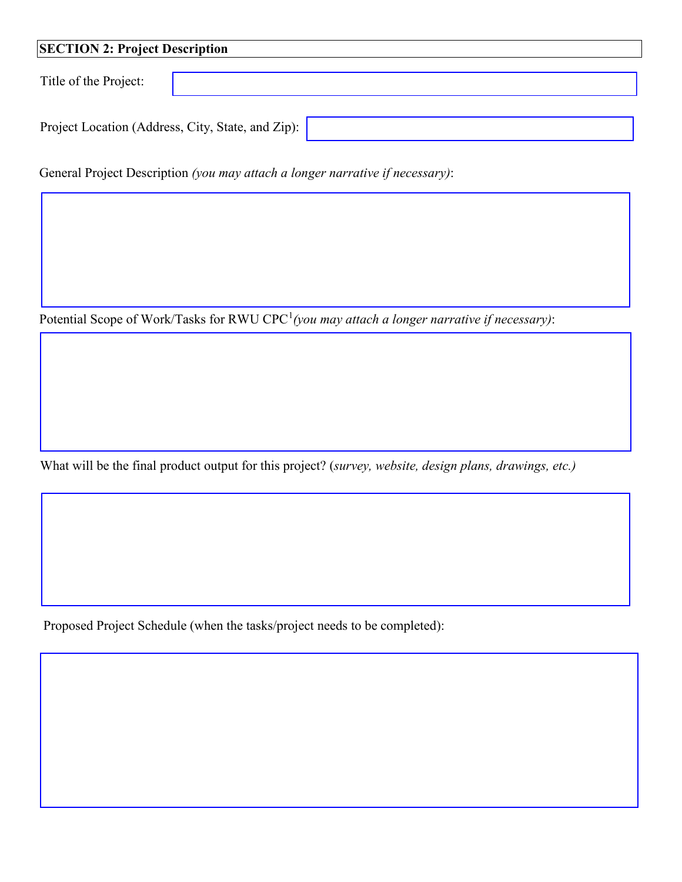| <b>SECTION 2: Project Description</b> |                                                   |  |  |  |
|---------------------------------------|---------------------------------------------------|--|--|--|
| Title of the Project:                 |                                                   |  |  |  |
|                                       | Project Location (Address, City, State, and Zip): |  |  |  |

General Project Description *(you may attach a longer narrative if necessary)*:

Potential Scope of Work/Tasks for RWU CPC<sup>[1](#page-2-0)</sup> (you may attach a longer narrative if necessary):

What will be the final product output for this project? (*survey, website, design plans, drawings, etc.)* 

Proposed Project Schedule (when the tasks/project needs to be completed):

<span id="page-2-0"></span>Ļ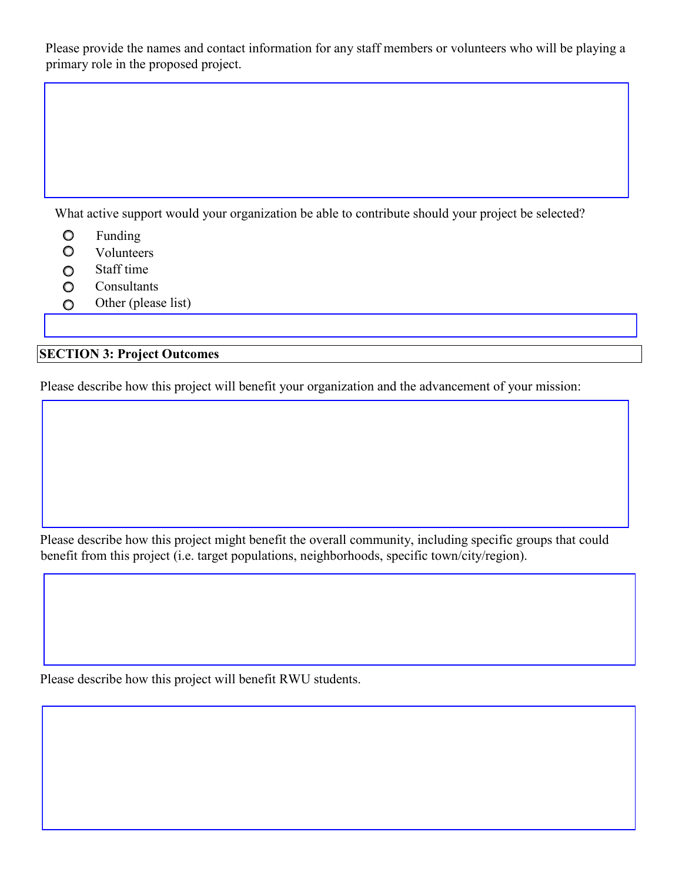Please provide the names and contact information for any staff members or volunteers who will be playing a primary role in the proposed project.

What active support would your organization be able to contribute should your project be selected?

- $\circ$ Funding
- $\circ$ Volunteers
- Staff time  $\circ$
- **Consultants**  $\circ$
- Other (please list)  $\circ$

# **SECTION 3: Project Outcomes**

Please describe how this project will benefit your organization and the advancement of your mission:

Please describe how this project might benefit the overall community, including specific groups that could benefit from this project (i.e. target populations, neighborhoods, specific town/city/region).

Please describe how this project will benefit RWU students.